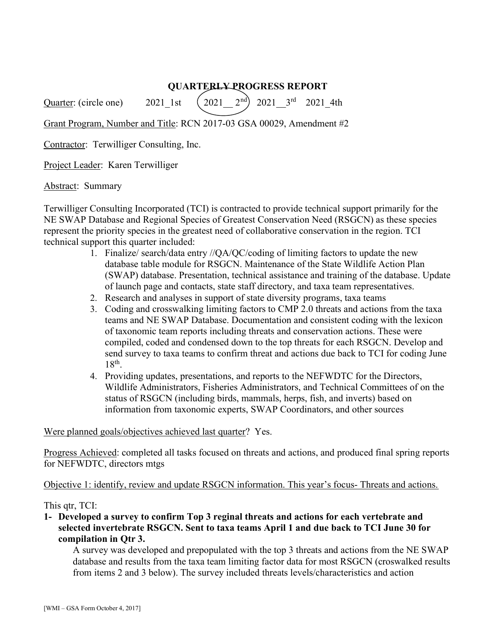# QUARTERLY PROGRESS REPORT

Quarter: (circle one) 2021\_1st  $(2021 \_ 2^{nd})$  2021\_3<sup>rd</sup> 2021\_4th

Grant Program, Number and Title: RCN 2017-03 GSA 00029, Amendment #2

Contractor: Terwilliger Consulting, Inc.

Project Leader: Karen Terwilliger

Abstract: Summary

Terwilliger Consulting Incorporated (TCI) is contracted to provide technical support primarily for the NE SWAP Database and Regional Species of Greatest Conservation Need (RSGCN) as these species represent the priority species in the greatest need of collaborative conservation in the region. TCI technical support this quarter included:

- 1. Finalize/ search/data entry //QA/QC/coding of limiting factors to update the new database table module for RSGCN. Maintenance of the State Wildlife Action Plan (SWAP) database. Presentation, technical assistance and training of the database. Update of launch page and contacts, state staff directory, and taxa team representatives.
- 2. Research and analyses in support of state diversity programs, taxa teams
- 3. Coding and crosswalking limiting factors to CMP 2.0 threats and actions from the taxa teams and NE SWAP Database. Documentation and consistent coding with the lexicon of taxonomic team reports including threats and conservation actions. These were compiled, coded and condensed down to the top threats for each RSGCN. Develop and send survey to taxa teams to confirm threat and actions due back to TCI for coding June  $18<sup>th</sup>$ .
- 4. Providing updates, presentations, and reports to the NEFWDTC for the Directors, Wildlife Administrators, Fisheries Administrators, and Technical Committees of on the status of RSGCN (including birds, mammals, herps, fish, and inverts) based on information from taxonomic experts, SWAP Coordinators, and other sources

## Were planned goals/objectives achieved last quarter? Yes.

Progress Achieved: completed all tasks focused on threats and actions, and produced final spring reports for NEFWDTC, directors mtgs

Objective 1: identify, review and update RSGCN information. This year's focus- Threats and actions.

## This qtr, TCI:

1- Developed a survey to confirm Top 3 reginal threats and actions for each vertebrate and selected invertebrate RSGCN. Sent to taxa teams April 1 and due back to TCI June 30 for compilation in Qtr 3.

A survey was developed and prepopulated with the top 3 threats and actions from the NE SWAP database and results from the taxa team limiting factor data for most RSGCN (croswalked results from items 2 and 3 below). The survey included threats levels/characteristics and action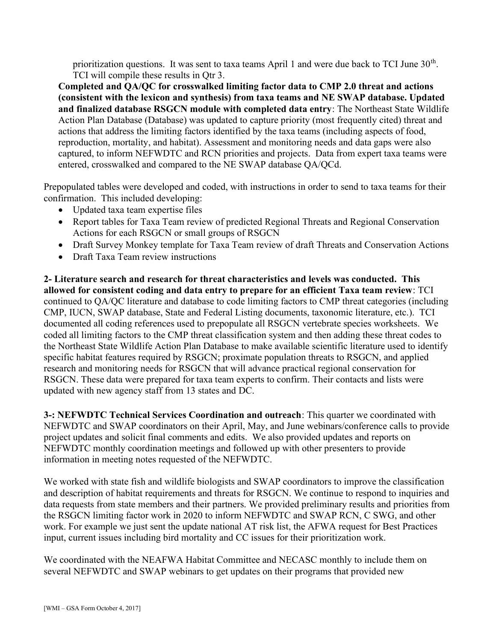prioritization questions. It was sent to taxa teams April 1 and were due back to TCI June  $30<sup>th</sup>$ . TCI will compile these results in Qtr 3.

Completed and QA/QC for crosswalked limiting factor data to CMP 2.0 threat and actions (consistent with the lexicon and synthesis) from taxa teams and NE SWAP database. Updated and finalized database RSGCN module with completed data entry: The Northeast State Wildlife Action Plan Database (Database) was updated to capture priority (most frequently cited) threat and actions that address the limiting factors identified by the taxa teams (including aspects of food, reproduction, mortality, and habitat). Assessment and monitoring needs and data gaps were also captured, to inform NEFWDTC and RCN priorities and projects. Data from expert taxa teams were entered, crosswalked and compared to the NE SWAP database QA/QCd.

Prepopulated tables were developed and coded, with instructions in order to send to taxa teams for their confirmation. This included developing:

- Updated taxa team expertise files
- Report tables for Taxa Team review of predicted Regional Threats and Regional Conservation Actions for each RSGCN or small groups of RSGCN
- Draft Survey Monkey template for Taxa Team review of draft Threats and Conservation Actions
- Draft Taxa Team review instructions

2- Literature search and research for threat characteristics and levels was conducted. This allowed for consistent coding and data entry to prepare for an efficient Taxa team review: TCI continued to QA/QC literature and database to code limiting factors to CMP threat categories (including CMP, IUCN, SWAP database, State and Federal Listing documents, taxonomic literature, etc.). TCI documented all coding references used to prepopulate all RSGCN vertebrate species worksheets. We coded all limiting factors to the CMP threat classification system and then adding these threat codes to the Northeast State Wildlife Action Plan Database to make available scientific literature used to identify specific habitat features required by RSGCN; proximate population threats to RSGCN, and applied research and monitoring needs for RSGCN that will advance practical regional conservation for RSGCN. These data were prepared for taxa team experts to confirm. Their contacts and lists were updated with new agency staff from 13 states and DC.

3-: NEFWDTC Technical Services Coordination and outreach: This quarter we coordinated with NEFWDTC and SWAP coordinators on their April, May, and June webinars/conference calls to provide project updates and solicit final comments and edits. We also provided updates and reports on NEFWDTC monthly coordination meetings and followed up with other presenters to provide information in meeting notes requested of the NEFWDTC.

We worked with state fish and wildlife biologists and SWAP coordinators to improve the classification and description of habitat requirements and threats for RSGCN. We continue to respond to inquiries and data requests from state members and their partners. We provided preliminary results and priorities from the RSGCN limiting factor work in 2020 to inform NEFWDTC and SWAP RCN, C SWG, and other work. For example we just sent the update national AT risk list, the AFWA request for Best Practices input, current issues including bird mortality and CC issues for their prioritization work.

We coordinated with the NEAFWA Habitat Committee and NECASC monthly to include them on several NEFWDTC and SWAP webinars to get updates on their programs that provided new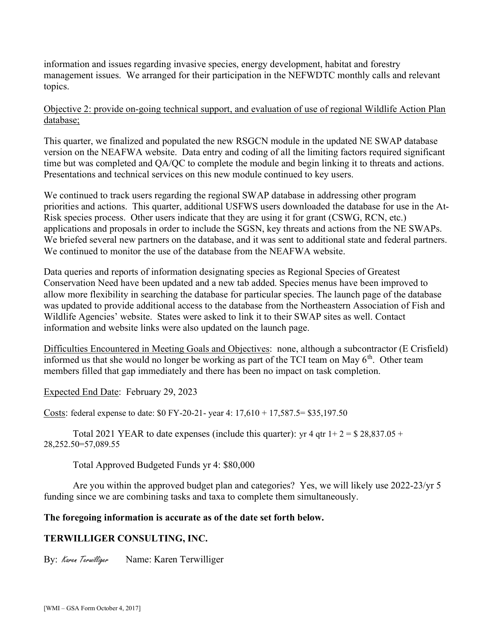information and issues regarding invasive species, energy development, habitat and forestry management issues. We arranged for their participation in the NEFWDTC monthly calls and relevant topics.

Objective 2: provide on-going technical support, and evaluation of use of regional Wildlife Action Plan database;

This quarter, we finalized and populated the new RSGCN module in the updated NE SWAP database version on the NEAFWA website. Data entry and coding of all the limiting factors required significant time but was completed and QA/QC to complete the module and begin linking it to threats and actions. Presentations and technical services on this new module continued to key users.

We continued to track users regarding the regional SWAP database in addressing other program priorities and actions. This quarter, additional USFWS users downloaded the database for use in the At-Risk species process. Other users indicate that they are using it for grant (CSWG, RCN, etc.) applications and proposals in order to include the SGSN, key threats and actions from the NE SWAPs. We briefed several new partners on the database, and it was sent to additional state and federal partners. We continued to monitor the use of the database from the NEAFWA website.

Data queries and reports of information designating species as Regional Species of Greatest Conservation Need have been updated and a new tab added. Species menus have been improved to allow more flexibility in searching the database for particular species. The launch page of the database was updated to provide additional access to the database from the Northeastern Association of Fish and Wildlife Agencies' website. States were asked to link it to their SWAP sites as well. Contact information and website links were also updated on the launch page.

Difficulties Encountered in Meeting Goals and Objectives: none, although a subcontractor (E Crisfield) informed us that she would no longer be working as part of the TCI team on May  $6<sup>th</sup>$ . Other team members filled that gap immediately and there has been no impact on task completion.

Expected End Date: February 29, 2023

Costs: federal expense to date: \$0 FY-20-21- year 4: 17,610 + 17,587.5= \$35,197.50

Total 2021 YEAR to date expenses (include this quarter): yr 4 qtr  $1+2=$  \$ 28,837.05 + 28,252.50=57,089.55

Total Approved Budgeted Funds yr 4: \$80,000

Are you within the approved budget plan and categories? Yes, we will likely use 2022-23/yr 5 funding since we are combining tasks and taxa to complete them simultaneously.

# The foregoing information is accurate as of the date set forth below.

# TERWILLIGER CONSULTING, INC.

By: Karen Terwilliger Name: Karen Terwilliger